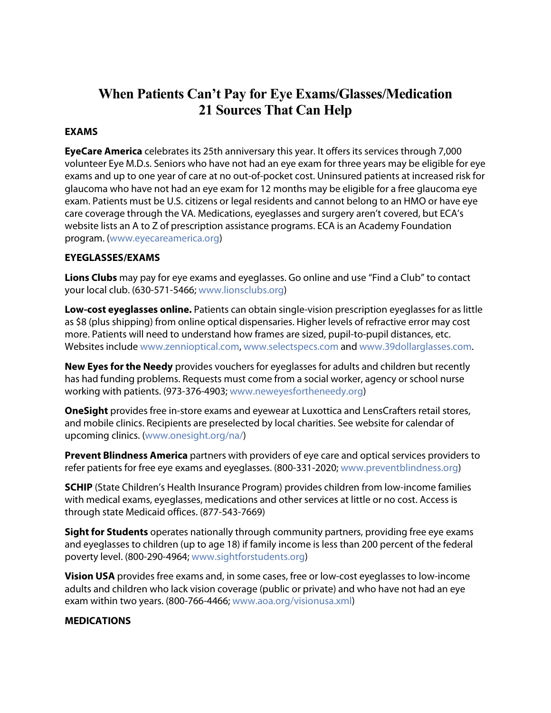# **When Patients Can't Pay for Eye Exams/Glasses/Medication 21 Sources That Can Help**

## **EXAMS**

**EyeCare America** celebrates its 25th anniversary this year. It offers its services through 7,000 volunteer Eye M.D.s. Seniors who have not had an eye exam for three years may be eligible for eye exams and up to one year of care at no out-of-pocket cost. Uninsured patients at increased risk for glaucoma who have not had an eye exam for 12 months may be eligible for a free glaucoma eye exam. Patients must be U.S. citizens or legal residents and cannot belong to an HMO or have eye care coverage through the VA. Medications, eyeglasses and surgery aren't covered, but ECA's website lists an A to Z of prescription assistance programs. ECA is an Academy Foundation program. [\(www.eyecareamerica.org\)](http://www.eyecareamerica.org/)

## **EYEGLASSES/EXAMS**

**Lions Clubs** may pay for eye exams and eyeglasses. Go online and use "Find a Club" to contact your local club. (630-571-5466; [www.lionsclubs.org\)](http://www.lionsclubs.org/)

**Low-cost eyeglasses online.** Patients can obtain single-vision prescription eyeglasses for as little as \$8 (plus shipping) from online optical dispensaries. Higher levels of refractive error may cost more. Patients will need to understand how frames are sized, pupil-to-pupil distances, etc. Websites include [www.zennioptical.com,](http://www.zennioptical.com/) [www.selectspecs.com](http://www.selectspecs.com/) an[d www.39dollarglasses.com.](http://www.39dollarglasses.com/)

**New Eyes for the Needy** provides vouchers for eyeglasses for adults and children but recently has had funding problems. Requests must come from a social worker, agency or school nurse working with patients. (973-376-4903[; www.neweyesfortheneedy.org\)](http://www.neweyesfortheneedy.org/)

**OneSight** provides free in-store exams and eyewear at Luxottica and LensCrafters retail stores, and mobile clinics. Recipients are preselected by local charities. See website for calendar of upcoming clinics. [\(www.onesight.org/na/\)](http://www.onesight.org/na/)

**Prevent Blindness America** partners with providers of eye care and optical services providers to refer patients for free eye exams and eyeglasses. (800-331-2020; [www.preventblindness.org\)](http://www.preventblindness.org/)

**SCHIP** (State Children's Health Insurance Program) provides children from low-income families with medical exams, eyeglasses, medications and other services at little or no cost. Access is through state Medicaid offices. (877-543-7669)

**Sight for Students** operates nationally through community partners, providing free eye exams and eyeglasses to children (up to age 18) if family income is less than 200 percent of the federal poverty level. (800-290-4964; [www.sightforstudents.org\)](http://www.sightforstudents.org/)

**Vision USA** provides free exams and, in some cases, free or low-cost eyeglasses to low-income adults and children who lack vision coverage (public or private) and who have not had an eye exam within two years. (800-766-4466; [www.aoa.org/visionusa.xml\)](http://www.aoa.org/visionusa.xml)

### **MEDICATIONS**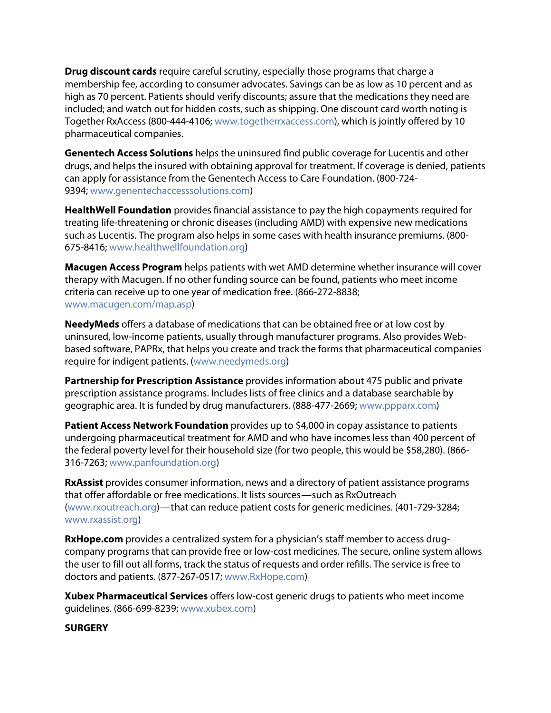**Drug discount cards** require careful scrutiny, especially those programs that charge a membership fee, according to consumer advocates. Savings can be as low as 10 percent and as high as 70 percent. Patients should verify discounts; assure that the medications they need are included; and watch out for hidden costs, such as shipping. One discount card worth noting is Together RxAccess (800-444-4106[; www.togetherrxaccess.com\)](http://www.togetherrxaccess.com/), which is jointly offered by 10 pharmaceutical companies.

**Genentech Access Solutions** helps the uninsured find public coverage for Lucentis and other drugs, and helps the insured with obtaining approval for treatment. If coverage is denied, patients can apply for assistance from the Genentech Access to Care Foundation. (800-724- 9394; [www.genentechaccesssolutions.com\)](http://www.genentechaccesssolutions.com/)

**HealthWell Foundation** provides financial assistance to pay the high copayments required for treating life-threatening or chronic diseases (including AMD) with expensive new medications such as Lucentis. The program also helps in some cases with health insurance premiums. (800- 675-8416; [www.healthwellfoundation.org\)](http://www.healthwellfoundation.org/)

**Macugen Access Program** helps patients with wet AMD determine whether insurance will cover therapy with Macugen. If no other funding source can be found, patients who meet income criteria can receive up to one year of medication free. (866-272-8838; [www.macugen.com/map.asp\)](http://www.macugen.com/map.asp)

**NeedyMeds** offers a database of medications that can be obtained free or at low cost by uninsured, low-income patients, usually through manufacturer programs. Also provides Webbased software, PAPRx, that helps you create and track the forms that pharmaceutical companies require for indigent patients. [\(www.needymeds.org\)](http://www.needymeds.org/)

**Partnership for Prescription Assistance** provides information about 475 public and private prescription assistance programs. Includes lists of free clinics and a database searchable by geographic area. It is funded by drug manufacturers. (888-477-2669; [www.ppparx.com\)](http://www.ppparx.com/)

**Patient Access Network Foundation** provides up to \$4,000 in copay assistance to patients undergoing pharmaceutical treatment for AMD and who have incomes less than 400 percent of the federal poverty level for their household size (for two people, this would be \$58,280). (866- 316-7263; [www.panfoundation.org\)](http://www.panfoundation.org/)

**RxAssist** provides consumer information, news and a directory of patient assistance programs that offer affordable or free medications. It lists sources—such as RxOutreach [\(www.rxoutreach.org\)](http://www.rxoutreach.org/)—that can reduce patient costs for generic medicines. (401-729-3284; [www.rxassist.org\)](http://www.rxassist.org/)

**RxHope.com** provides a centralized system for a physician's staff member to access drugcompany programs that can provide free or low-cost medicines. The secure, online system allows the user to fill out all forms, track the status of requests and order refills. The service is free to doctors and patients. (877-267-0517[; www.RxHope.com\)](http://www.rxhope.com/)

**Xubex Pharmaceutical Services** offers low-cost generic drugs to patients who meet income guidelines. (866-699-8239; [www.xubex.com\)](http://www.xubex.com/)

### **SURGERY**